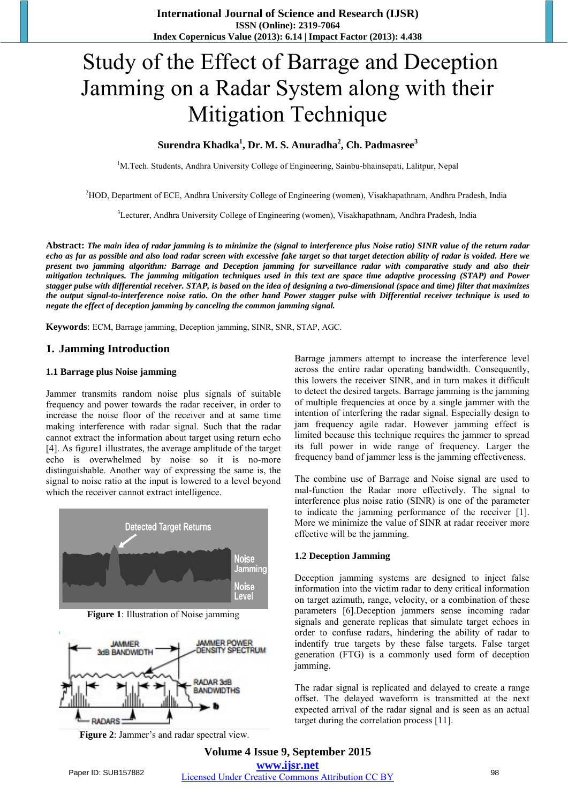# Study of the Effect of Barrage and Deception Jamming on a Radar System along with their Mitigation Technique

# **Surendra Khadka<sup>1</sup> , Dr. M. S. Anuradha<sup>2</sup> , Ch. Padmasree<sup>3</sup>**

<sup>1</sup>M.Tech. Students, Andhra University College of Engineering, Sainbu-bhainsepati, Lalitpur, Nepal

<sup>2</sup>HOD, Department of ECE, Andhra University College of Engineering (women), Visakhapathnam, Andhra Pradesh, India

<sup>3</sup>Lecturer, Andhra University College of Engineering (women), Visakhapathnam, Andhra Pradesh, India

**Abstract:** *The main idea of radar jamming is to minimize the (signal to interference plus Noise ratio) SINR value of the return radar echo as far as possible and also load radar screen with excessive fake target so that target detection ability of radar is voided. Here we present two jamming algorithm: Barrage and Deception jamming for surveillance radar with comparative study and also their mitigation techniques. The jamming mitigation techniques used in this text are space time adaptive processing (STAP) and Power stagger pulse with differential receiver. STAP, is based on the idea of designing a two-dimensional (space and time) filter that maximizes the output signal-to-interference noise ratio. On the other hand Power stagger pulse with Differential receiver technique is used to negate the effect of deception jamming by canceling the common jamming signal.* 

**Keywords**: ECM, Barrage jamming, Deception jamming, SINR, SNR, STAP, AGC.

## **1. Jamming Introduction**

### **1.1 Barrage plus Noise jamming**

Jammer transmits random noise plus signals of suitable frequency and power towards the radar receiver, in order to increase the noise floor of the receiver and at same time making interference with radar signal. Such that the radar cannot extract the information about target using return echo [4]. As figure1 illustrates, the average amplitude of the target echo is overwhelmed by noise so it is no-more distinguishable. Another way of expressing the same is, the signal to noise ratio at the input is lowered to a level beyond which the receiver cannot extract intelligence.



**Figure 1**: Illustration of Noise jamming



**Figure 2**: Jammer's and radar spectral view.

Barrage jammers attempt to increase the interference level across the entire radar operating bandwidth. Consequently, this lowers the receiver SINR, and in turn makes it difficult to detect the desired targets. Barrage jamming is the jamming of multiple frequencies at once by a single jammer with the intention of interfering the radar signal. Especially design to jam frequency agile radar. However jamming effect is limited because this technique requires the jammer to spread its full power in wide range of frequency. Larger the frequency band of jammer less is the jamming effectiveness.

The combine use of Barrage and Noise signal are used to mal-function the Radar more effectively. The signal to interference plus noise ratio (SINR) is one of the parameter to indicate the jamming performance of the receiver [1]. More we minimize the value of SINR at radar receiver more effective will be the jamming.

## **1.2 Deception Jamming**

Deception jamming systems are designed to inject false information into the victim radar to deny critical information on target azimuth, range, velocity, or a combination of these parameters [6].Deception jammers sense incoming radar signals and generate replicas that simulate target echoes in order to confuse radars, hindering the ability of radar to indentify true targets by these false targets. False target generation (FTG) is a commonly used form of deception jamming.

The radar signal is replicated and delayed to create a range offset. The delayed waveform is transmitted at the next expected arrival of the radar signal and is seen as an actual target during the correlation process [11].

**Volume 4 Issue 9, September 2015 www.ijsr.net** Paper ID: SUB157882 Licensed Under Creative Commons Attribution CC BY 98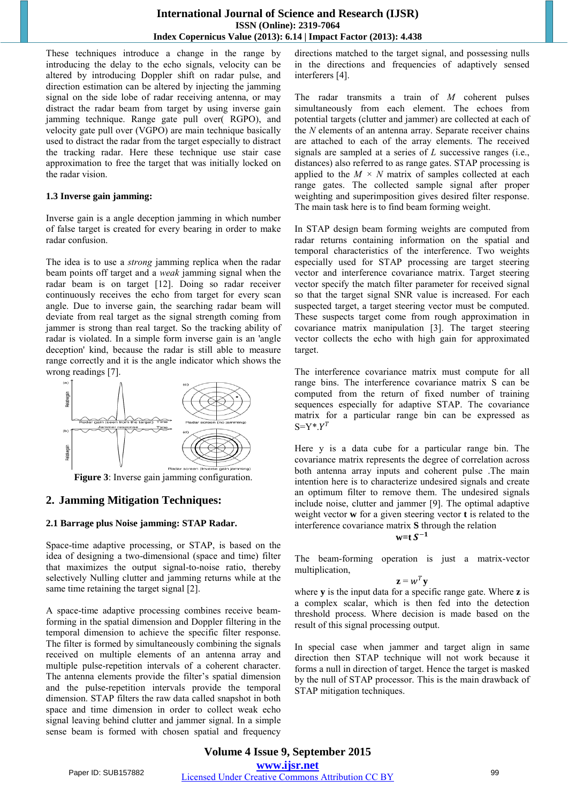# **International Journal of Science and Research (IJSR) ISSN (Online): 2319-7064 Index Copernicus Value (2013): 6.14 | Impact Factor (2013): 4.438**

These techniques introduce a change in the range by introducing the delay to the echo signals, velocity can be altered by introducing Doppler shift on radar pulse, and direction estimation can be altered by injecting the jamming signal on the side lobe of radar receiving antenna, or may distract the radar beam from target by using inverse gain jamming technique. Range gate pull over( RGPO), and velocity gate pull over (VGPO) are main technique basically used to distract the radar from the target especially to distract the tracking radar. Here these technique use stair case approximation to free the target that was initially locked on the radar vision.

## **1.3 Inverse gain jamming:**

Inverse gain is a angle deception jamming in which number of false target is created for every bearing in order to make radar confusion.

The idea is to use a *strong* jamming replica when the radar beam points off target and a *weak* jamming signal when the radar beam is on target [12]. Doing so radar receiver continuously receives the echo from target for every scan angle. Due to inverse gain, the searching radar beam will deviate from real target as the signal strength coming from jammer is strong than real target. So the tracking ability of radar is violated. In a simple form inverse gain is an 'angle deception' kind, because the radar is still able to measure range correctly and it is the angle indicator which shows the wrong readings [7].



**Figure 3**: Inverse gain jamming configuration.

# **2. Jamming Mitigation Techniques:**

## **2.1 Barrage plus Noise jamming: STAP Radar.**

Space-time adaptive processing, or STAP, is based on the idea of designing a two-dimensional (space and time) filter that maximizes the output signal-to-noise ratio, thereby selectively Nulling clutter and jamming returns while at the same time retaining the target signal [2].

A space-time adaptive processing combines receive beamforming in the spatial dimension and Doppler filtering in the temporal dimension to achieve the specific filter response. The filter is formed by simultaneously combining the signals received on multiple elements of an antenna array and multiple pulse-repetition intervals of a coherent character. The antenna elements provide the filter's spatial dimension and the pulse-repetition intervals provide the temporal dimension. STAP filters the raw data called snapshot in both space and time dimension in order to collect weak echo signal leaving behind clutter and jammer signal. In a simple sense beam is formed with chosen spatial and frequency directions matched to the target signal, and possessing nulls in the directions and frequencies of adaptively sensed interferers [4].

The radar transmits a train of *M* coherent pulses simultaneously from each element. The echoes from potential targets (clutter and jammer) are collected at each of the *N* elements of an antenna array. Separate receiver chains are attached to each of the array elements. The received signals are sampled at a series of *L* successive ranges (i.e., distances) also referred to as range gates. STAP processing is applied to the  $M \times N$  matrix of samples collected at each range gates. The collected sample signal after proper weighting and superimposition gives desired filter response. The main task here is to find beam forming weight.

In STAP design beam forming weights are computed from radar returns containing information on the spatial and temporal characteristics of the interference. Two weights especially used for STAP processing are target steering vector and interference covariance matrix. Target steering vector specify the match filter parameter for received signal so that the target signal SNR value is increased. For each suspected target, a target steering vector must be computed. These suspects target come from rough approximation in covariance matrix manipulation [3]. The target steering vector collects the echo with high gain for approximated target.

The interference covariance matrix must compute for all range bins. The interference covariance matrix S can be computed from the return of fixed number of training sequences especially for adaptive STAP. The covariance matrix for a particular range bin can be expressed as  $S=Y^*Y^T$ 

Here y is a data cube for a particular range bin. The covariance matrix represents the degree of correlation across both antenna array inputs and coherent pulse .The main intention here is to characterize undesired signals and create an optimum filter to remove them. The undesired signals include noise, clutter and jammer [9]. The optimal adaptive weight vector **w** for a given steering vector **t** is related to the interference covariance matrix **S** through the relation

$$
w=t S^{-1}
$$

The beam-forming operation is just a matrix-vector multiplication,

$$
\mathbf{z} = w^T \mathbf{y}
$$

where **y** is the input data for a specific range gate. Where **z** is a complex scalar, which is then fed into the detection threshold process. Where decision is made based on the result of this signal processing output.

In special case when jammer and target align in same direction then STAP technique will not work because it forms a null in direction of target. Hence the target is masked by the null of STAP processor. This is the main drawback of STAP mitigation techniques.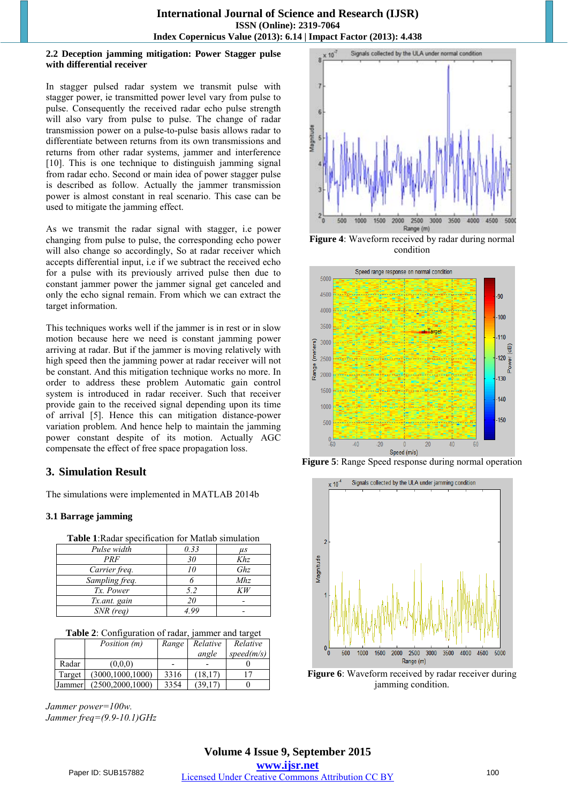## **2.2 Deception jamming mitigation: Power Stagger pulse with differential receiver**

In stagger pulsed radar system we transmit pulse with stagger power, ie transmitted power level vary from pulse to pulse. Consequently the received radar echo pulse strength will also vary from pulse to pulse. The change of radar transmission power on a pulse-to-pulse basis allows radar to differentiate between returns from its own transmissions and returns from other radar systems, jammer and interference [10]. This is one technique to distinguish jamming signal from radar echo. Second or main idea of power stagger pulse is described as follow. Actually the jammer transmission power is almost constant in real scenario. This case can be used to mitigate the jamming effect.

As we transmit the radar signal with stagger, i.e power changing from pulse to pulse, the corresponding echo power will also change so accordingly, So at radar receiver which accepts differential input, i.e if we subtract the received echo for a pulse with its previously arrived pulse then due to constant jammer power the jammer signal get canceled and only the echo signal remain. From which we can extract the target information.

This techniques works well if the jammer is in rest or in slow motion because here we need is constant jamming power arriving at radar. But if the jammer is moving relatively with high speed then the jamming power at radar receiver will not be constant. And this mitigation technique works no more. In order to address these problem Automatic gain control system is introduced in radar receiver. Such that receiver provide gain to the received signal depending upon its time of arrival [5]. Hence this can mitigation distance-power variation problem. And hence help to maintain the jamming power constant despite of its motion. Actually AGC compensate the effect of free space propagation loss.

# **3. Simulation Result**

The simulations were implemented in MATLAB 2014b

# **3.1 Barrage jamming**

| Table 1: Radar specification for Matlab simulation |                 |     |  |  |  |
|----------------------------------------------------|-----------------|-----|--|--|--|
| Pulse width                                        | 0.33<br>$\mu$ s |     |  |  |  |
| PRF                                                | 30              | Khz |  |  |  |
| Carrier freq.                                      |                 | Ghz |  |  |  |
| Sampling freq.                                     |                 | Mhz |  |  |  |
| Tx. Power                                          | 5.2             | KW  |  |  |  |
| Tx.ant. gain                                       | 20              |     |  |  |  |
| $SNR$ (reg)                                        |                 |     |  |  |  |

|        | Position (m)       | Range | Relative | Relative   |
|--------|--------------------|-------|----------|------------|
|        |                    |       | angle    | speed(m/s) |
| Radar  | (0.0.0)            |       |          |            |
| Target | (3000.1000.1000)   | 3316  | (18.17)  | 17         |
| Jammer | (2500, 2000, 1000) | 3354  | (39.17)  |            |

*Jammer power=100w. Jammer freq=(9.9-10.1)GHz* 



**Figure 4**: Waveform received by radar during normal condition



**Figure 5**: Range Speed response during normal operation



**Figure 6**: Waveform received by radar receiver during jamming condition.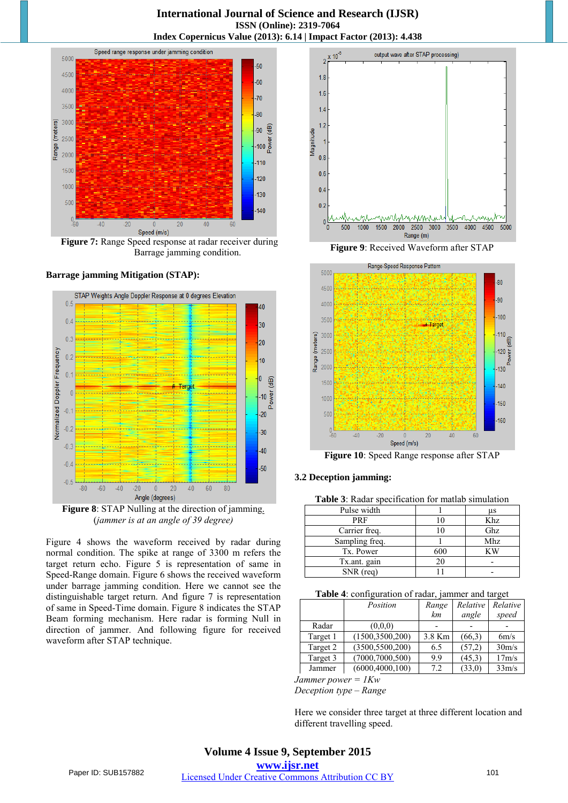

**Figure 7:** Range Speed response at radar receiver during Barrage jamming condition.

### **Barrage jamming Mitigation (STAP):**



**Figure 8**: STAP Nulling at the direction of jamming. (*jammer is at an angle of 39 degree)*

Figure 4 shows the waveform received by radar during normal condition. The spike at range of 3300 m refers the target return echo. Figure 5 is representation of same in Speed-Range domain. Figure 6 shows the received waveform under barrage jamming condition. Here we cannot see the distinguishable target return. And figure 7 is representation of same in Speed-Time domain. Figure 8 indicates the STAP Beam forming mechanism. Here radar is forming Null in direction of jammer. And following figure for received waveform after STAP technique.



**Figure 9**: Received Waveform after STAP



**Figure 10**: Speed Range response after STAP

## **3.2 Deception jamming:**

**Table 3**: Radar specification for matlab simulation

| Pulse width    |     | μs  |
|----------------|-----|-----|
| PRF            |     | Khz |
| Carrier freq.  |     | Ghz |
| Sampling freq. |     | Mhz |
| Tx. Power      | 600 | κw  |
| Tx.ant. gain   | 20  |     |
| SNR (rea)      |     |     |

| Table 4: configuration of radar, jammer and target |  |  |
|----------------------------------------------------|--|--|

|          | Position          | Range  | Relative | Relative           |
|----------|-------------------|--------|----------|--------------------|
|          |                   | km     | angle    | speed              |
| Radar    | (0,0,0)           |        |          |                    |
| Target 1 | (1500, 3500, 200) | 3.8 Km | (66,3)   | 6m/s               |
| Target 2 | (3500, 5500, 200) | 6.5    | (57,2)   | 30 <sub>m</sub> /s |
| Target 3 | (7000, 7000, 500) | 9.9    | (45,3)   | 17m/s              |
| Jammer   | (6000, 4000, 100) | 7.2    | (33,0)   | 33m/s              |

*Jammer power = 1Kw*

*Deception type – Range*

Here we consider three target at three different location and different travelling speed.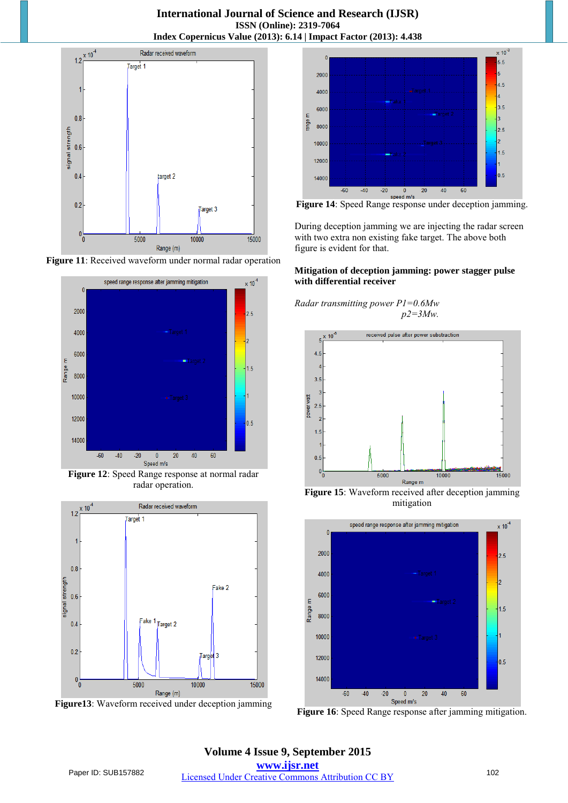





**Figure 12**: Speed Range response at normal radar radar operation.



**Figure13**: Waveform received under deception jamming



**Figure 14**: Speed Range response under deception jamming.

During deception jamming we are injecting the radar screen with two extra non existing fake target. The above both figure is evident for that.

## **Mitigation of deception jamming: power stagger pulse with differential receiver**

*Radar transmitting power P1=0.6Mw p2=3Mw.*



**Figure 15**: Waveform received after deception jamming mitigation



**Figure 16**: Speed Range response after jamming mitigation.

**Volume 4 Issue 9, September 2015 www.ijsr.net**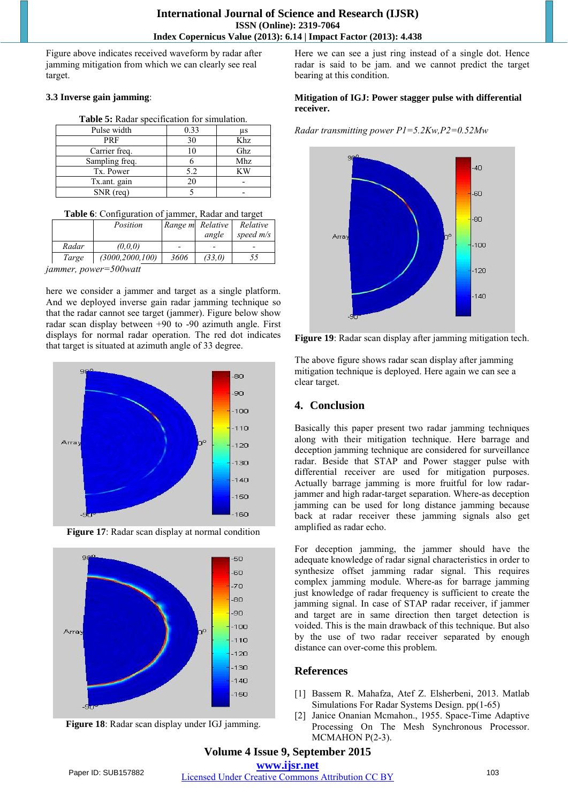Figure above indicates received waveform by radar after jamming mitigation from which we can clearly see real target.

## **3.3 Inverse gain jamming**:

| <b>Table 3.</b> Naual Specification for Shinufation. |      |     |  |  |
|------------------------------------------------------|------|-----|--|--|
| Pulse width                                          | 0.33 | μs  |  |  |
| PRF                                                  | 30   | Khz |  |  |
| Carrier freq.                                        |      | Ghz |  |  |
| Sampling freq.                                       |      | Mhz |  |  |
| Tx. Power                                            | 5.2  | ΚW  |  |  |
| Tx.ant. gain                                         | 20   |     |  |  |
| $SNR$ (req)                                          |      |     |  |  |

## **Table 5:** Radar specification for simulation.

| Table 6: Configuration of jammer, Radar and target |  |  |  |
|----------------------------------------------------|--|--|--|
|----------------------------------------------------|--|--|--|

|              | Position          |      | Range m Relative | Relative    |
|--------------|-------------------|------|------------------|-------------|
|              |                   |      | angle            | speed $m/s$ |
| Radar        | (0,0,0)           |      |                  |             |
| Targe        | (3000, 2000, 100) | 3606 | (33,0)           | 55          |
| ------------ | $\ldots$ FOO      |      |                  |             |

*jammer, power=500watt*

here we consider a jammer and target as a single platform. And we deployed inverse gain radar jamming technique so that the radar cannot see target (jammer). Figure below show radar scan display between +90 to -90 azimuth angle. First displays for normal radar operation. The red dot indicates that target is situated at azimuth angle of 33 degree.



**Figure 17**: Radar scan display at normal condition





Here we can see a just ring instead of a single dot. Hence radar is said to be jam. and we cannot predict the target bearing at this condition.

## **Mitigation of IGJ: Power stagger pulse with differential receiver.**

*Radar transmitting power P1=5.2Kw,P2=0.52Mw*



**Figure 19**: Radar scan display after jamming mitigation tech.

The above figure shows radar scan display after jamming mitigation technique is deployed. Here again we can see a clear target.

# **4. Conclusion**

Basically this paper present two radar jamming techniques along with their mitigation technique. Here barrage and deception jamming technique are considered for surveillance radar. Beside that STAP and Power stagger pulse with differential receiver are used for mitigation purposes. Actually barrage jamming is more fruitful for low radarjammer and high radar-target separation. Where-as deception jamming can be used for long distance jamming because back at radar receiver these jamming signals also get amplified as radar echo.

For deception jamming, the jammer should have the adequate knowledge of radar signal characteristics in order to synthesize offset jamming radar signal. This requires complex jamming module. Where-as for barrage jamming just knowledge of radar frequency is sufficient to create the jamming signal. In case of STAP radar receiver, if jammer and target are in same direction then target detection is voided. This is the main drawback of this technique. But also by the use of two radar receiver separated by enough distance can over-come this problem.

# **References**

- [1] Bassem R. Mahafza, Atef Z. Elsherbeni, 2013. Matlab Simulations For Radar Systems Design. pp(1-65)
- [2] Janice Onanian Mcmahon., 1955. Space-Time Adaptive Processing On The Mesh Synchronous Processor. MCMAHON P(2-3).

**Volume 4 Issue 9, September 2015 www.ijsr.net**